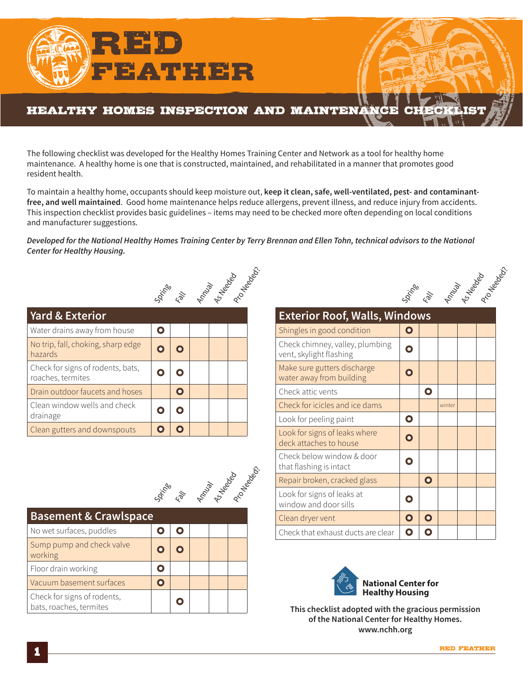

The following checklist was developed for the Healthy Homes Training Center and Network as a tool for healthy home maintenance. A healthy home is one that is constructed, maintained, and rehabilitated in a manner that promotes good resident health.

To maintain a healthy home, occupants should keep moisture out, **keep it clean, safe, well-ventilated, pest- and contaminantfree, and well maintained**. Good home maintenance helps reduce allergens, prevent illness, and reduce injury from accidents. This inspection checklist provides basic guidelines – items may need to be checked more often depending on local conditions and manufacturer suggestions.

*Developed for the National Healthy Homes Training Center by Terry Brennan and Ellen Tohn, technical advisors to the National Center for Healthy Housing.*



| <b>Yard &amp; Exterior</b>                             |           |  |  |
|--------------------------------------------------------|-----------|--|--|
| Water drains away from house                           |           |  |  |
| No trip, fall, choking, sharp edge<br>hazards          |           |  |  |
| Check for signs of rodents, bats,<br>roaches, termites |           |  |  |
| Drain outdoor faucets and hoses                        | $\bullet$ |  |  |
| Clean window wells and check<br>drainage               |           |  |  |
| Clean gutters and downspouts                           |           |  |  |



| <b>Basement &amp; Crawlspace</b>                       |  |  |  |
|--------------------------------------------------------|--|--|--|
| No wet surfaces, puddles                               |  |  |  |
| Sump pump and check valve<br>working                   |  |  |  |
| Floor drain working                                    |  |  |  |
| Vacuum basement surfaces                               |  |  |  |
| Check for signs of rodents,<br>bats, roaches, termites |  |  |  |

|                                                            |             |              | <b>Social Reproduction Repair</b> |  |
|------------------------------------------------------------|-------------|--------------|-----------------------------------|--|
| <b>Exterior Roof, Walls, Windows</b>                       |             |              |                                   |  |
| Shingles in good condition                                 | Ο           |              |                                   |  |
| Check chimney, valley, plumbing<br>vent, skylight flashing |             |              |                                   |  |
| Make sure gutters discharge<br>water away from building    | Ο           |              |                                   |  |
| Check attic vents                                          |             | O            |                                   |  |
| Check for icicles and ice dams                             |             |              | winter                            |  |
| Look for peeling paint                                     | $\mathbf O$ |              |                                   |  |
| Look for signs of leaks where<br>deck attaches to house    | Ω           |              |                                   |  |
| Check below window & door<br>that flashing is intact       | n           |              |                                   |  |
| Repair broken, cracked glass                               |             | $\mathbf{o}$ |                                   |  |
| Look for signs of leaks at<br>window and door sills        | Ο           |              |                                   |  |
| Clean dryer vent                                           | $\mathbf O$ | Ω            |                                   |  |
| Check that exhaust ducts are clear                         | Ο           |              |                                   |  |



**This checklist adopted with the gracious permission of the National Center for Healthy Homes. www.nchh.org**

fall Annual Reeded